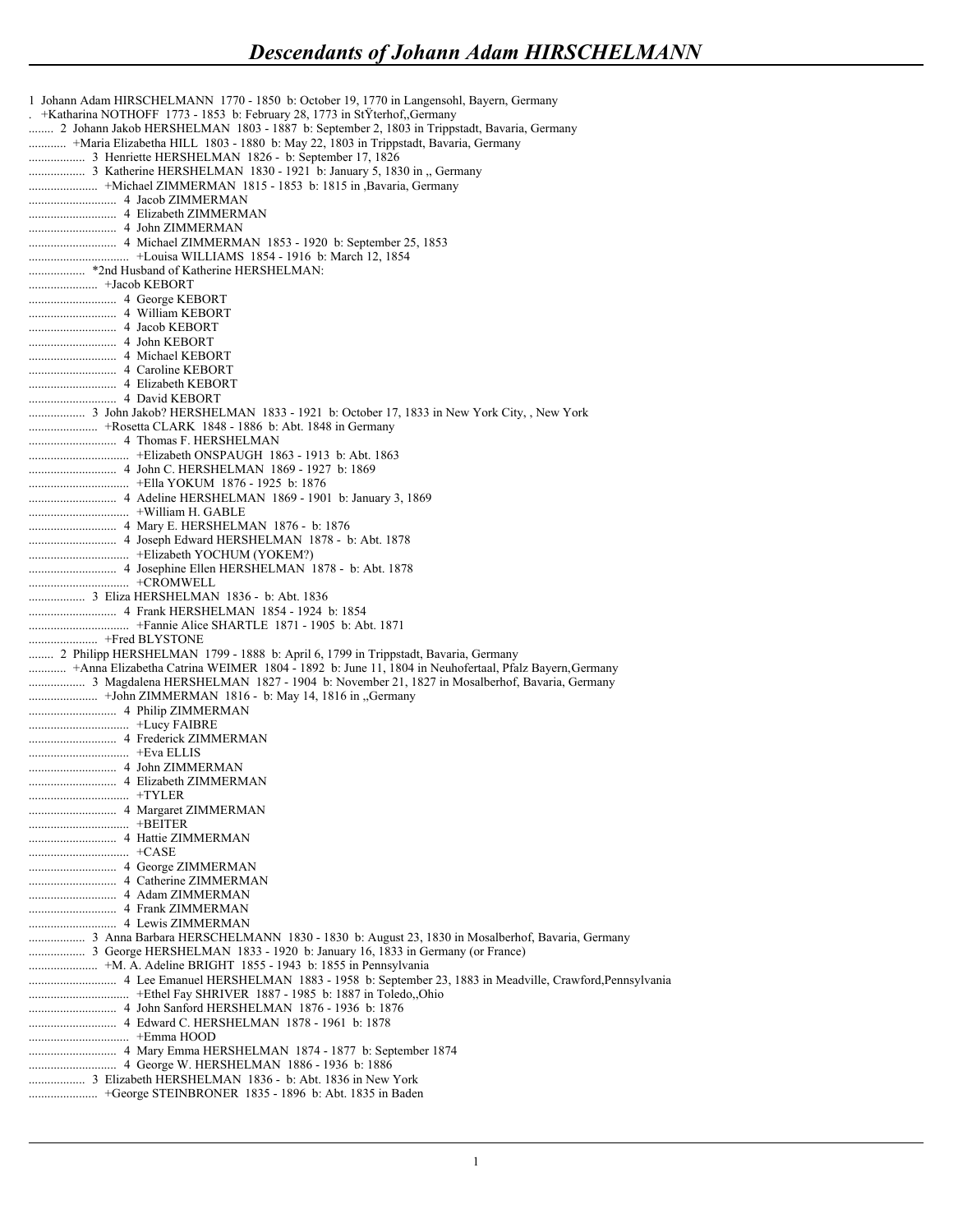```
1 Johann Adam HIRSCHELMANN 1770 - 1850 b: October 19, 1770 in Langensohl, Bayern, Germany
. +Katharina NOTHOFF 1773 - 1853 b: February 28, 1773 in StŸterhof,,Germany
........ 2 Johann Jakob HERSHELMAN 1803 - 1887 b: September 2, 1803 in Trippstadt, Bavaria, Germany
............ +Maria Elizabetha HILL 1803 - 1880 b: May 22, 1803 in Trippstadt, Bavaria, Germany
.................. 3 Henriette HERSHELMAN 1826 - b: September 17, 1826
.................. 3 Katherine HERSHELMAN 1830 - 1921 b: January 5, 1830 in ,, Germany
...................... +Michael ZIMMERMAN 1815 - 1853 b: 1815 in ,Bavaria, Germany
............................ 4 Jacob ZIMMERMAN 
............................ 4 Elizabeth ZIMMERMAN 
............................ 4 John ZIMMERMAN 
............................ 4 Michael ZIMMERMAN 1853 - 1920 b: September 25, 1853
................................ +Louisa WILLIAMS 1854 - 1916 b: March 12, 1854
.................. *2nd Husband of Katherine HERSHELMAN: 
...................... +Jacob KEBORT 
............................ 4 George KEBORT 
............................ 4 William KEBORT 
............................ 4 Jacob KEBORT 
............................ 4 John KEBORT 
............................ 4 Michael KEBORT 
............................ 4 Caroline KEBORT 
............................ 4 Elizabeth KEBORT 
............................ 4 David KEBORT 
.................. 3 John Jakob? HERSHELMAN 1833 - 1921 b: October 17, 1833 in New York City, , New York
...................... +Rosetta CLARK 1848 - 1886 b: Abt. 1848 in Germany
............................ 4 Thomas F. HERSHELMAN 
................................ +Elizabeth ONSPAUGH 1863 - 1913 b: Abt. 1863
............................ 4 John C. HERSHELMAN 1869 - 1927 b: 1869
................................ +Ella YOKUM 1876 - 1925 b: 1876
............................ 4 Adeline HERSHELMAN 1869 - 1901 b: January 3, 1869
................................ +William H. GABLE 
............................ 4 Mary E. HERSHELMAN 1876 - b: 1876
............................ 4 Joseph Edward HERSHELMAN 1878 - b: Abt. 1878
................................ +Elizabeth YOCHUM (YOKEM?) 
............................ 4 Josephine Ellen HERSHELMAN 1878 - b: Abt. 1878
................................ +CROMWELL 
.................. 3 Eliza HERSHELMAN 1836 - b: Abt. 1836
............................ 4 Frank HERSHELMAN 1854 - 1924 b: 1854
................................ +Fannie Alice SHARTLE 1871 - 1905 b: Abt. 1871
...................... +Fred BLYSTONE 
........ 2 Philipp HERSHELMAN 1799 - 1888 b: April 6, 1799 in Trippstadt, Bavaria, Germany
............ +Anna Elizabetha Catrina WEIMER 1804 - 1892 b: June 11, 1804 in Neuhofertaal, Pfalz Bayern, Germany
.................. 3 Magdalena HERSHELMAN 1827 - 1904 b: November 21, 1827 in Mosalberhof, Bavaria, Germany
...................... +John ZIMMERMAN 1816 - b: May 14, 1816 in ,,Germany
............................ 4 Philip ZIMMERMAN 
................................ +Lucy FAIBRE 
............................ 4 Frederick ZIMMERMAN 
................................ +Eva ELLIS 
............................ 4 John ZIMMERMAN 
............................ 4 Elizabeth ZIMMERMAN 
................................ +TYLER 
............................ 4 Margaret ZIMMERMAN 
................................ +BEITER 
............................ 4 Hattie ZIMMERMAN 
................................ +CASE 
............................ 4 George ZIMMERMAN 
............................ 4 Catherine ZIMMERMAN 
............................ 4 Adam ZIMMERMAN 
............................ 4 Frank ZIMMERMAN 
............................ 4 Lewis ZIMMERMAN 
.................. 3 Anna Barbara HERSCHELMANN 1830 - 1830 b: August 23, 1830 in Mosalberhof, Bavaria, Germany
.................. 3 George HERSHELMAN 1833 - 1920 b: January 16, 1833 in Germany (or France)
...................... +M. A. Adeline BRIGHT 1855 - 1943 b: 1855 in Pennsylvania
............................ 4 Lee Emanuel HERSHELMAN 1883 - 1958 b: September 23, 1883 in Meadville, Crawford,Pennsylvania
................................ +Ethel Fay SHRIVER 1887 - 1985 b: 1887 in Toledo,,Ohio
............................ 4 John Sanford HERSHELMAN 1876 - 1936 b: 1876
............................ 4 Edward C. HERSHELMAN 1878 - 1961 b: 1878
................................ +Emma HOOD 
............................ 4 Mary Emma HERSHELMAN 1874 - 1877 b: September 1874
............................ 4 George W. HERSHELMAN 1886 - 1936 b: 1886
.................. 3 Elizabeth HERSHELMAN 1836 - b: Abt. 1836 in New York
...................... +George STEINBRONER 1835 - 1896 b: Abt. 1835 in Baden
```